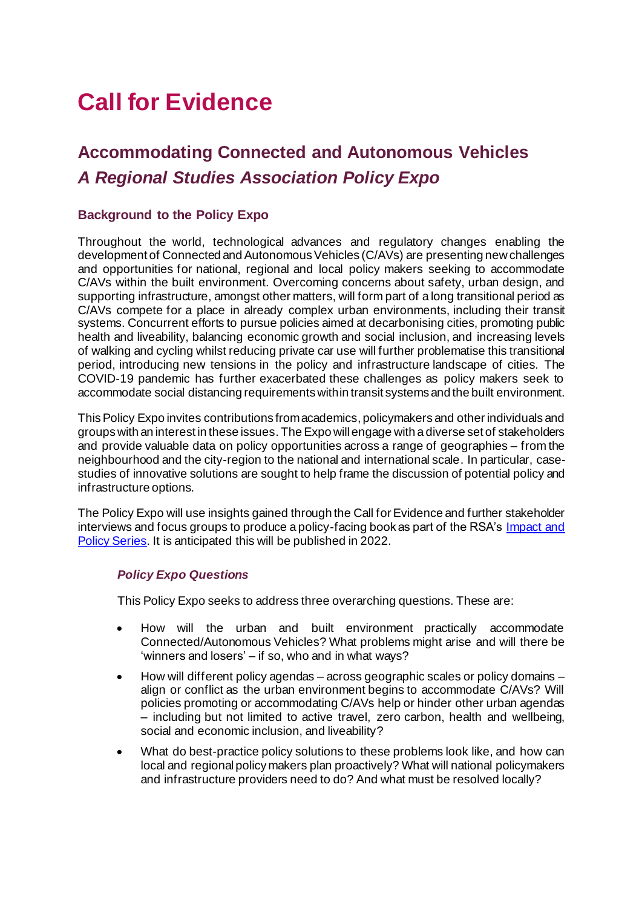# **Call for Evidence**

# **Accommodating Connected and Autonomous Vehicles** *A Regional Studies Association Policy Expo*

# **Background to the Policy Expo**

Throughout the world, technological advances and regulatory changes enabling the development of Connected and Autonomous Vehicles (C/AVs) are presenting new challenges and opportunities for national, regional and local policy makers seeking to accommodate C/AVs within the built environment. Overcoming concerns about safety, urban design, and supporting infrastructure, amongst other matters, will form part of a long transitional period as C/AVs compete for a place in already complex urban environments, including their transit systems. Concurrent efforts to pursue policies aimed at decarbonising cities, promoting public health and liveability, balancing economic growth and social inclusion, and increasing levels of walking and cycling whilst reducing private car use will further problematise this transitional period, introducing new tensions in the policy and infrastructure landscape of cities. The COVID-19 pandemic has further exacerbated these challenges as policy makers seek to accommodate social distancing requirements within transit systems and the built environment.

This Policy Expo invites contributions from academics, policymakers and other individuals and groups with an interest in these issues. The Expo will engage with a diverse set of stakeholders and provide valuable data on policy opportunities across a range of geographies – from the neighbourhood and the city-region to the national and international scale. In particular, casestudies of innovative solutions are sought to help frame the discussion of potential policy and infrastructure options.

The Policy Expo will use insights gained through the Call for Evidence and further stakeholder interviews and focus groups to produce a policy-facing book as part of the RSA's [Impact and](https://rsa.tandfonline.com/toc/rpim20/current)  [Policy Series.](https://rsa.tandfonline.com/toc/rpim20/current) It is anticipated this will be published in 2022.

#### *Policy Expo Questions*

This Policy Expo seeks to address three overarching questions. These are:

- How will the urban and built environment practically accommodate Connected/Autonomous Vehicles? What problems might arise and will there be 'winners and losers' – if so, who and in what ways?
- How will different policy agendas across geographic scales or policy domains align or conflict as the urban environment begins to accommodate C/AVs? Will policies promoting or accommodating C/AVs help or hinder other urban agendas – including but not limited to active travel, zero carbon, health and wellbeing, social and economic inclusion, and liveability?
- What do best-practice policy solutions to these problems look like, and how can local and regional policy makers plan proactively? What will national policymakers and infrastructure providers need to do? And what must be resolved locally?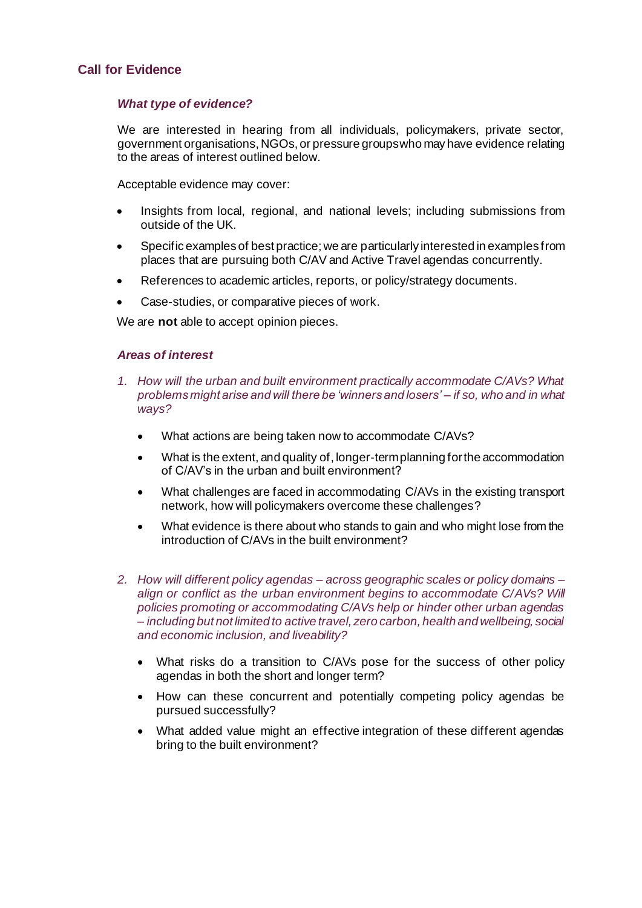#### **Call for Evidence**

#### *What type of evidence?*

We are interested in hearing from all individuals, policymakers, private sector, government organisations, NGOs, or pressure groups who may have evidence relating to the areas of interest outlined below.

Acceptable evidence may cover:

- Insights from local, regional, and national levels; including submissions from outside of the UK.
- Specific examples of best practice; we are particularly interested in examples from places that are pursuing both C/AV and Active Travel agendas concurrently.
- References to academic articles, reports, or policy/strategy documents.
- Case-studies, or comparative pieces of work.

We are **not** able to accept opinion pieces.

#### *Areas of interest*

- *1. How will the urban and built environment practically accommodate C/AVs? What problems might arise and will there be 'winners and losers' – if so, who and in what ways?* 
	- What actions are being taken now to accommodate C/AVs?
	- What is the extent, and quality of, longer-term planning for the accommodation of C/AV's in the urban and built environment?
	- What challenges are faced in accommodating C/AVs in the existing transport network, how will policymakers overcome these challenges?
	- What evidence is there about who stands to gain and who might lose from the introduction of C/AVs in the built environment?
- *2. How will different policy agendas – across geographic scales or policy domains – align or conflict as the urban environment begins to accommodate C/AVs? Will policies promoting or accommodating C/AVs help or hinder other urban agendas – including but not limited to active travel, zero carbon, health and wellbeing, social and economic inclusion, and liveability?* 
	- What risks do a transition to C/AVs pose for the success of other policy agendas in both the short and longer term?
	- How can these concurrent and potentially competing policy agendas be pursued successfully?
	- What added value might an effective integration of these different agendas bring to the built environment?